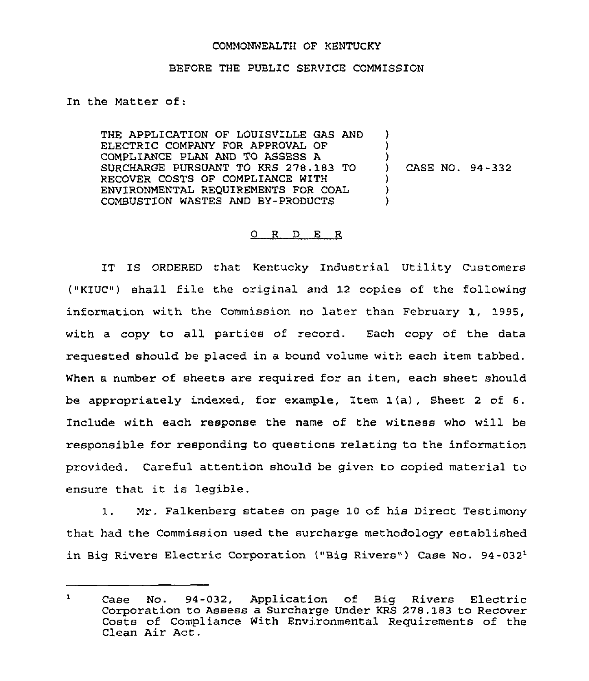## COMMONWEALTH OF KENTUCKY

## BEFORE THE PUBLIC SERVICE COMMISSION

In the Matter of:

THE APPLICATION OF LOUISVILLE GAS AND ELECTRIC COMPANY FOR APPROVAL OF COMPLIANCE PLAN AND TO ASSESS A SURCHARGE PURSUANT TO KRS 278.183 TO RECOVER COSTS OF COMPLIANCE WITH ENVIRONMENTAL REQUIREMENTS FOR COAL COMBUSTION WASTES AND BY-PRODUCTS )  $\lambda$  $\big\}$ ) CASE NO. 94-332 ) )  $\lambda$ 

## 0 <sup>R</sup> <sup>D</sup> E R

IT IS ORDERED that Kentucky Industrial Utility Customers ("KIUC") shall file the original and 12 copies of the following information with the Commission no later than February 1, 1995, with a copy to all parties of record. Each copy of the data requested should be placed in a bound volume with each item tabbed. When a number of sheets are required for an item, each sheet should be appropriately indexed, for example, Item 1(a), Sheet <sup>2</sup> of 6. Include with each response the name of the witness who will be responsible for responding to questions relating to the information provided. Careful attention should be given to copied material to ensure that it is legible.

1. Mr. Falkenberg states on page 10 of his Direct Testimony that had the Commission used the surcharge methodology established in Big Rivers Electric Corporation ("Big Rivers") Case No.  $94-032<sup>1</sup>$ 

 $\mathbf{1}$ No. 94-032, Application of Big Rivers Electric Case No. 94-032, Application of Big Rivers Electric<br>Corporation to Assess a Surcharge Under KRS 278.183 to Recover Costs of Compliance With Environmental Requirements of the Clean Air Act.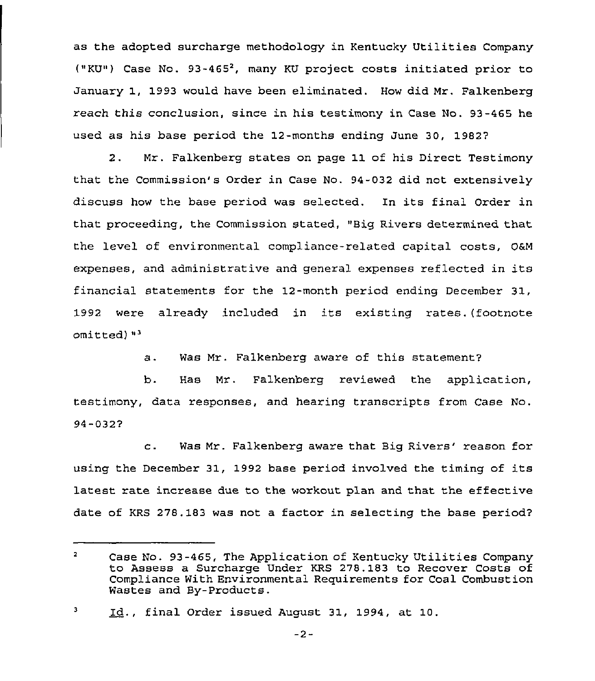as the adopted surcharge methodology in Kentucky Utilities Company ("KU») Case No. 93-465', many KU project costs initiated prior to January 1, 1993 would have been eliminated. How did Mr. Falkenberg reach this conclusion, since in his testimony in Case No. 93-465 he used as his base period the 12-months ending June 30, 1982?

2. Mr. Falkenberg states on page 11 of his Direct Testimony that the Commission's Order in Case No. 94-032 did not extensively discuss how the base period was selected. In its final Order in that proceeding, the Commission stated, "Big Rivers determined that the level of environmental compliance-related capital costs, O6M expenses, and administrative and general expenses reflected in its financial statements for the 12-month period ending December 31, 1992 were already included in its existing rates. (footnote omitted)"'.

> Was Mr. Falkenberg aware of this statement?  $a.$

b. Has Mr. Falkenberg reviewed the application, testimony, data responses, and hearing transcripts from Case No. 94-032?

c. Was Mr. Falkenberg aware that Big Rivers'eason for using the December 31, 1992 base period involved the timing of its latest rate increase due to the workout plan and that the effective date of KRS 278.183 was not a factor in selecting the base period?

 $\overline{2}$ Case No. 93-465, The Application of Kentucky Utilities Company to Assess a Surcharge Under KRS 278.183 to Recover Costs of Compliance With Environmental Requirements for Coal Combustion Wastes and By-Products.

 $\mathbf{3}$ Id., final Order issued August 31, 1994, at 10.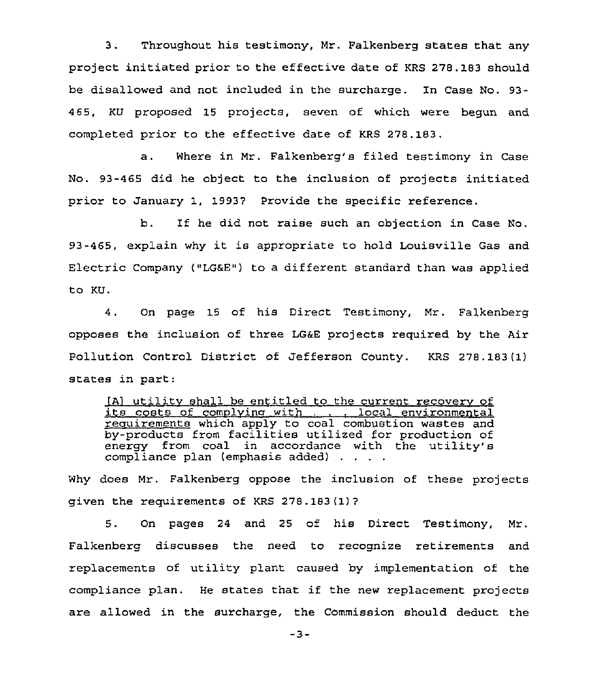3. Throughout his testimony, Mz. Falkenberg states that any project initiated prior to the effective date of KRS 278.183 should be disallowed and not included in the surcharge. In Case No. 93- 465, KU proposed 15 projects, seven of which were begun and completed prior to the effective date of KRS 278.183.

a. Where in Mr. Falkenberg's filed testimony in Case No. 93-465 did he object to the inclusion of projects initiated prior to January 1, 1993? Provide the specific reference.

b. If he did not raise such an objection in Case No. 93-465, explain why it is appropriate to hold Louisville Gas and Electric Company ("LGaE") to a different standard than was applied to KU.

4. On page 15 of his Direct Testimony, Mr. Falkenberg opposes the inclusion of three LG6E projects required by the Air Pollution Control District of Jefferson County. KRS 278.183(1) states in part:

(A) utility shall be entitled to the current recovery of<br>its costs of complying with . . . . local environmental requirements which apply to coal combustion wastes and by-products from facilities utilized for production of energy from coal in accordance with the utility's compliance plan (emphasis added)

Why does Mr. Falkenberg oppose the inclusion of these projects given the requirements of KRS 278 .183 (1) ?

5. On pages 24 and 25 of his Direct Testimony, Mr. Falkenberg discusses the need to recognize retirements and replacements of utility plant caused by implementation of the compliance plan. He states that if the new replacement projects are allowed in the surcharge, the Commission should deduct the

 $-3-$